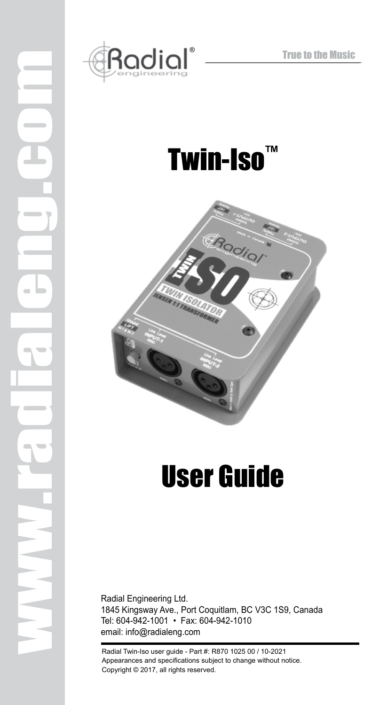

www.radialeng.com

 $\equiv$ 

## Twin-Iso™



# User Guide

Radial Engineering Ltd. 1845 Kingsway Ave., Port Coquitlam, BC V3C 1S9, Canada Tel: 604-942-1001 • Fax: 604-942-1010 email: info@radialeng.com

Radial Twin-Iso user guide - Part #: R870 1025 00 / 10-2021 Appearances and specifications subject to change without notice. Copyright © 2017, all rights reserved.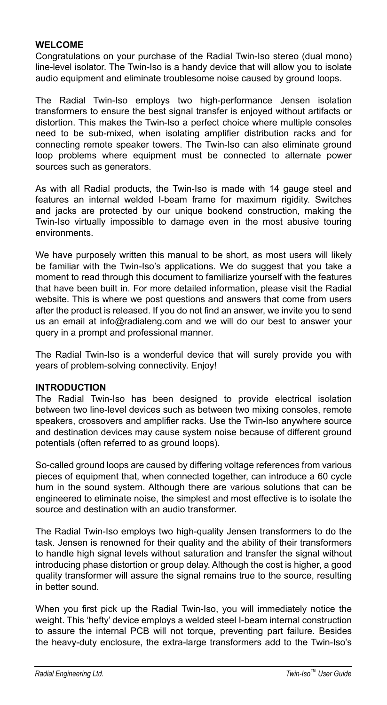#### **WELCOME**

Congratulations on your purchase of the Radial Twin-Iso stereo (dual mono) line-level isolator. The Twin-Iso is a handy device that will allow you to isolate audio equipment and eliminate troublesome noise caused by ground loops.

The Radial Twin-Iso employs two high-performance Jensen isolation transformers to ensure the best signal transfer is enjoyed without artifacts or distortion. This makes the Twin-Iso a perfect choice where multiple consoles need to be sub-mixed, when isolating amplifier distribution racks and for connecting remote speaker towers. The Twin-Iso can also eliminate ground loop problems where equipment must be connected to alternate power sources such as generators.

As with all Radial products, the Twin-Iso is made with 14 gauge steel and features an internal welded I-beam frame for maximum rigidity. Switches and jacks are protected by our unique bookend construction, making the Twin-Iso virtually impossible to damage even in the most abusive touring environments.

We have purposely written this manual to be short, as most users will likely be familiar with the Twin-Iso's applications. We do suggest that you take a moment to read through this document to familiarize yourself with the features that have been built in. For more detailed information, please visit the Radial website. This is where we post questions and answers that come from users after the product is released. If you do not find an answer, we invite you to send us an email at info@radialeng.com and we will do our best to answer your query in a prompt and professional manner.

The Radial Twin-Iso is a wonderful device that will surely provide you with years of problem-solving connectivity. Enjoy!

#### **INTRODUCTION**

The Radial Twin-Iso has been designed to provide electrical isolation between two line-level devices such as between two mixing consoles, remote speakers, crossovers and amplifier racks. Use the Twin-Iso anywhere source and destination devices may cause system noise because of different ground potentials (often referred to as ground loops).

So-called ground loops are caused by differing voltage references from various pieces of equipment that, when connected together, can introduce a 60 cycle hum in the sound system. Although there are various solutions that can be engineered to eliminate noise, the simplest and most effective is to isolate the source and destination with an audio transformer.

The Radial Twin-Iso employs two high-quality Jensen transformers to do the task. Jensen is renowned for their quality and the ability of their transformers to handle high signal levels without saturation and transfer the signal without introducing phase distortion or group delay. Although the cost is higher, a good quality transformer will assure the signal remains true to the source, resulting in better sound.

When you first pick up the Radial Twin-Iso, you will immediately notice the weight. This 'hefty' device employs a welded steel I-beam internal construction to assure the internal PCB will not torque, preventing part failure. Besides the heavy-duty enclosure, the extra-large transformers add to the Twin-Iso's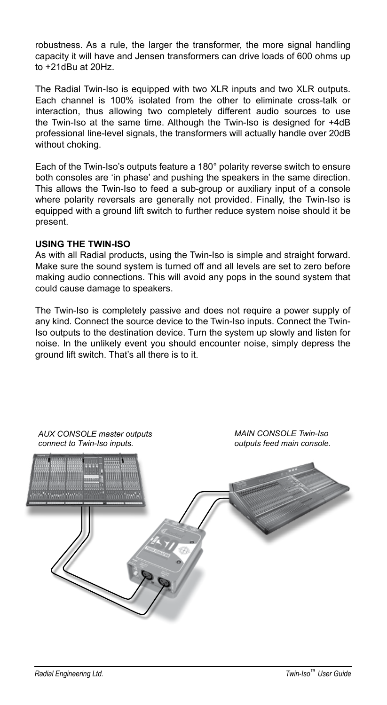robustness. As a rule, the larger the transformer, the more signal handling capacity it will have and Jensen transformers can drive loads of 600 ohms up to +21dBu at 20Hz.

The Radial Twin-Iso is equipped with two XLR inputs and two XLR outputs. Each channel is 100% isolated from the other to eliminate cross-talk or interaction, thus allowing two completely different audio sources to use the Twin-Iso at the same time. Although the Twin-Iso is designed for +4dB professional line-level signals, the transformers will actually handle over 20dB without choking.

Each of the Twin-Iso's outputs feature a 180° polarity reverse switch to ensure both consoles are 'in phase' and pushing the speakers in the same direction. This allows the Twin-Iso to feed a sub-group or auxiliary input of a console where polarity reversals are generally not provided. Finally, the Twin-Iso is equipped with a ground lift switch to further reduce system noise should it be present.

#### **USING THE TWIN-ISO**

As with all Radial products, using the Twin-Iso is simple and straight forward. Make sure the sound system is turned off and all levels are set to zero before making audio connections. This will avoid any pops in the sound system that could cause damage to speakers.

The Twin-Iso is completely passive and does not require a power supply of any kind. Connect the source device to the Twin-Iso inputs. Connect the Twin-Iso outputs to the destination device. Turn the system up slowly and listen for noise. In the unlikely event you should encounter noise, simply depress the ground lift switch. That's all there is to it.

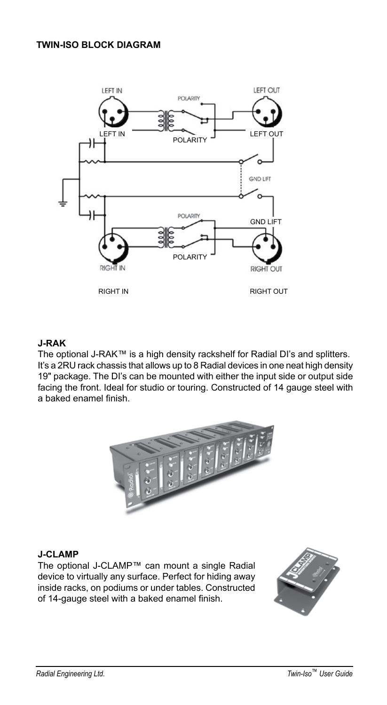### **TWIN-ISO BLOCK DIAGRAM**



## **J-RAK**

The optional J-RAK™ is a high density rackshelf for Radial DI's and splitters. It's a 2RU rack chassis that allows up to 8 Radial devices in one neat high density 19" package. The DI's can be mounted with either the input side or output side facing the front. Ideal for studio or touring. Constructed of 14 gauge steel with a baked enamel finish.



#### **J-CLAMP**

The optional J-CLAMP™ can mount a single Radial device to virtually any surface. Perfect for hiding away inside racks, on podiums or under tables. Constructed of 14-gauge steel with a baked enamel finish.

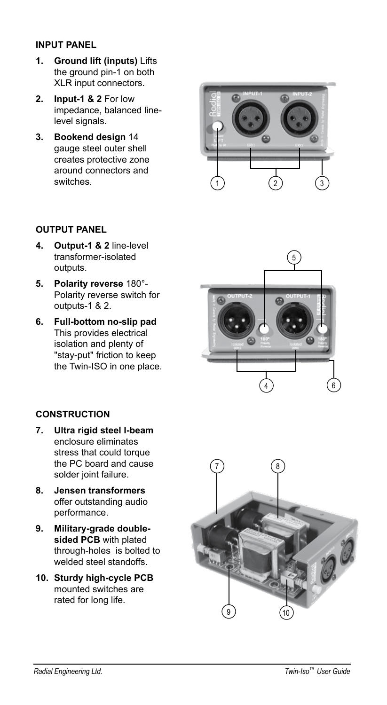## **INPUT PANEL**

- **1. Ground lift (inputs)** Lifts the ground pin-1 on both XLR input connectors.
- **2. Input-1 & 2** For low impedance, balanced linelevel signals.
- **3. Bookend design** 14 gauge steel outer shell creates protective zone around connectors and switches.



## **OUTPUT PANEL**

- **4. Output-1 & 2** line-level transformer-isolated outputs.
- **5. Polarity reverse** 180°- Polarity reverse switch for outputs-1 & 2.
- **6. Full-bottom no-slip pad** This provides electrical isolation and plenty of "stay-put" friction to keep the Twin-ISO in one place.

## **CONSTRUCTION**

- **7. Ultra rigid steel I-beam** enclosure eliminates stress that could torque the PC board and cause solder joint failure.
- **8. Jensen transformers**  offer outstanding audio performance.
- **9. Military-grade doublesided PCB** with plated through-holes is bolted to welded steel standoffs.
- **10. Sturdy high-cycle PCB**  mounted switches are rated for long life.